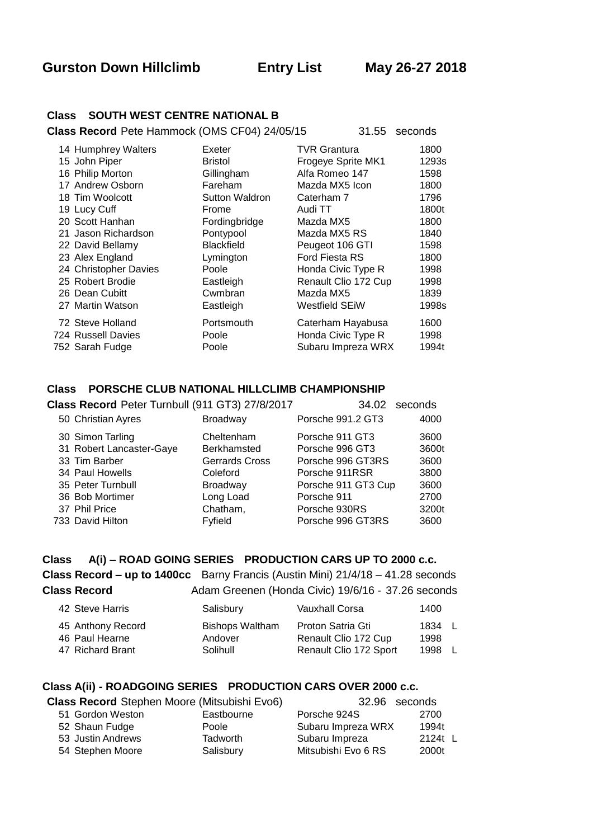**Gurston Down Hillclimb Entry List May 26-27 2018** 

### **Class SOUTH WEST CENTRE NATIONAL B**

**Class Record** Pete Hammock (OMS CF04) 24/05/15 31.55 seconds

| 14 Humphrey Walters   | Exeter                | <b>TVR Grantura</b>   | 1800  |
|-----------------------|-----------------------|-----------------------|-------|
| 15 John Piper         | <b>Bristol</b>        | Frogeye Sprite MK1    | 1293s |
| 16 Philip Morton      | Gillingham            | Alfa Romeo 147        | 1598  |
| 17 Andrew Osborn      | Fareham               | Mazda MX5 Icon        | 1800  |
| 18 Tim Woolcott       | <b>Sutton Waldron</b> | Caterham 7            | 1796  |
| 19 Lucy Cuff          | Frome                 | Audi TT               | 1800t |
| 20 Scott Hanhan       | Fordingbridge         | Mazda MX5             | 1800  |
| 21 Jason Richardson   | Pontypool             | Mazda MX5 RS          | 1840  |
| 22 David Bellamy      | <b>Blackfield</b>     | Peugeot 106 GTI       | 1598  |
| 23 Alex England       | Lymington             | <b>Ford Fiesta RS</b> | 1800  |
| 24 Christopher Davies | Poole                 | Honda Civic Type R    | 1998  |
| 25 Robert Brodie      | Eastleigh             | Renault Clio 172 Cup  | 1998  |
| 26 Dean Cubitt        | Cwmbran               | Mazda MX5             | 1839  |
| 27 Martin Watson      | Eastleigh             | <b>Westfield SEIW</b> | 1998s |
| 72 Steve Holland      | Portsmouth            | Caterham Hayabusa     | 1600  |
| 724 Russell Davies    | Poole                 | Honda Civic Type R    | 1998  |
| 752 Sarah Fudge       | Poole                 | Subaru Impreza WRX    | 1994t |

### **Class PORSCHE CLUB NATIONAL HILLCLIMB CHAMPIONSHIP**

|  | Class Record Peter Turnbull (911 GT3) 27/8/2017 | 34.02                 | seconds             |       |
|--|-------------------------------------------------|-----------------------|---------------------|-------|
|  | 50 Christian Ayres                              | Broadway              | Porsche 991.2 GT3   | 4000  |
|  | 30 Simon Tarling                                | Cheltenham            | Porsche 911 GT3     | 3600  |
|  | 31 Robert Lancaster-Gaye                        | <b>Berkhamsted</b>    | Porsche 996 GT3     | 3600t |
|  | 33 Tim Barber                                   | <b>Gerrards Cross</b> | Porsche 996 GT3RS   | 3600  |
|  | 34 Paul Howells                                 | Coleford              | Porsche 911RSR      | 3800  |
|  | 35 Peter Turnbull                               | Broadway              | Porsche 911 GT3 Cup | 3600  |
|  | 36 Bob Mortimer                                 | Long Load             | Porsche 911         | 2700  |
|  | 37 Phil Price                                   | Chatham,              | Porsche 930RS       | 3200t |
|  | 733 David Hilton                                | Fyfield               | Porsche 996 GT3RS   | 3600  |

# **Class A(i) – ROAD GOING SERIES PRODUCTION CARS UP TO 2000 c.c.**

**Class Record – up to 1400cc** Barny Francis (Austin Mini) 21/4/18 – 41.28 seconds **Class Record** Adam Greenen (Honda Civic) 19/6/16 - 37.26 seconds

| Proton Satria Gti<br>45 Anthony Record<br><b>Bishops Waltham</b><br>1834 L<br>Renault Clio 172 Cup<br>46 Paul Hearne<br>Andover<br>1998<br>Renault Clio 172 Sport<br>47 Richard Brant<br>Solihull<br>1998 | -L |
|-----------------------------------------------------------------------------------------------------------------------------------------------------------------------------------------------------------|----|

### **Class A(ii) - ROADGOING SERIES PRODUCTION CARS OVER 2000 c.c.**

| <b>Class Record</b> Stephen Moore (Mitsubishi Evo6) |                   |                 |                     | 32.96 seconds |
|-----------------------------------------------------|-------------------|-----------------|---------------------|---------------|
|                                                     | 51 Gordon Weston  | Eastbourne      | Porsche 924S        | 2700          |
|                                                     | 52 Shaun Fudge    | Poole           | Subaru Impreza WRX  | 1994t         |
|                                                     | 53 Justin Andrews | <b>Tadworth</b> | Subaru Impreza      | 2124t L       |
|                                                     | 54 Stephen Moore  | Salisbury       | Mitsubishi Evo 6 RS | 2000t         |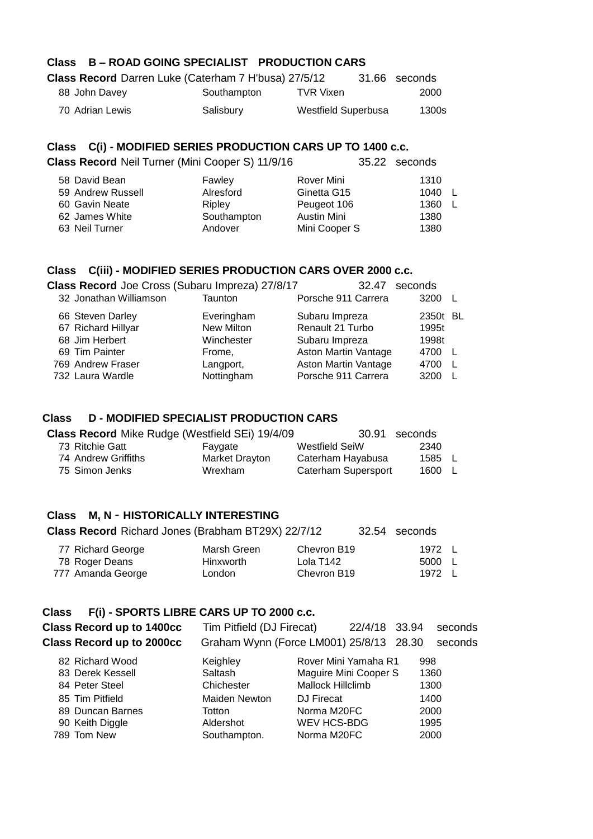## **Class B – ROAD GOING SPECIALIST PRODUCTION CARS**

| Class Record Darren Luke (Caterham 7 H'busa) 27/5/12 |             |                     | 31.66 seconds |
|------------------------------------------------------|-------------|---------------------|---------------|
| 88 John Davey                                        | Southampton | TVR Vixen           | 2000          |
| 70 Adrian Lewis                                      | Salisbury   | Westfield Superbusa | 1300s         |

### **Class C(i) - MODIFIED SERIES PRODUCTION CARS UP TO 1400 c.c.**

| Class Record Neil Turner (Mini Cooper S) 11/9/16 |             |               | 35.22 seconds |  |
|--------------------------------------------------|-------------|---------------|---------------|--|
| 58 David Bean                                    | Fawley      | Rover Mini    | 1310          |  |
| 59 Andrew Russell                                | Alresford   | Ginetta G15   | 1040 L        |  |
| 60 Gavin Neate                                   | Ripley      | Peugeot 106   | 1360 L        |  |
| 62 James White                                   | Southampton | Austin Mini   | 1380          |  |
| 63 Neil Turner                                   | Andover     | Mini Cooper S | 1380          |  |
|                                                  |             |               |               |  |

# **Class C(iii) - MODIFIED SERIES PRODUCTION CARS OVER 2000 c.c.**

| Class Record Joe Cross (Subaru Impreza) 27/8/17 |            | 32.47                | seconds  |  |
|-------------------------------------------------|------------|----------------------|----------|--|
| 32 Jonathan Williamson                          | Taunton    | Porsche 911 Carrera  | 3200     |  |
| 66 Steven Darley                                | Everingham | Subaru Impreza       | 2350t BL |  |
| 67 Richard Hillyar                              | New Milton | Renault 21 Turbo     | 1995t    |  |
| 68 Jim Herbert                                  | Winchester | Subaru Impreza       | 1998t    |  |
| 69 Tim Painter                                  | Frome,     | Aston Martin Vantage | 4700 L   |  |
| 769 Andrew Fraser                               | Langport,  | Aston Martin Vantage | 4700     |  |
| 732 Laura Wardle                                | Nottingham | Porsche 911 Carrera  | 3200     |  |

### **Class D - MODIFIED SPECIALIST PRODUCTION CARS**

| <b>Class Record Mike Rudge (Westfield SEi) 19/4/09</b> |                | 30.91 seconds       |        |  |
|--------------------------------------------------------|----------------|---------------------|--------|--|
| 73 Ritchie Gatt                                        | Favgate        | Westfield SeiW      | 2340   |  |
| 74 Andrew Griffiths                                    | Market Dravton | Caterham Hayabusa   | 1585 L |  |
| 75 Simon Jenks                                         | Wrexham        | Caterham Supersport | 1600 L |  |

### **Class M, N** - **HISTORICALLY INTERESTING**

| <b>Class Record</b> Richard Jones (Brabham BT29X) 22/7/12 |  | 32.54 seconds |
|-----------------------------------------------------------|--|---------------|
|-----------------------------------------------------------|--|---------------|

| 77 Richard George | Marsh Green | Chevron B19 | 1972 L |
|-------------------|-------------|-------------|--------|
| 78 Roger Deans    | Hinxworth   | Lola T142   | 5000 L |
| 777 Amanda George | London      | Chevron B19 | 1972 L |

### **Class F(i) - SPORTS LIBRE CARS UP TO 2000 c.c.**

| <b>Class Record up to 1400cc</b><br><b>Class Record up to 2000cc</b> | Tim Pitfield (DJ Firecat) | 22/4/18 33.94<br>Graham Wynn (Force LM001) 25/8/13 28.30 |      | seconds<br>seconds |
|----------------------------------------------------------------------|---------------------------|----------------------------------------------------------|------|--------------------|
| 82 Richard Wood                                                      | Keighley                  | Rover Mini Yamaha R1                                     | 998  |                    |
| 83 Derek Kessell                                                     | Saltash                   | Maguire Mini Cooper S                                    | 1360 |                    |
| 84 Peter Steel                                                       | Chichester                | Mallock Hillclimb                                        | 1300 |                    |
| 85 Tim Pitfield                                                      | <b>Maiden Newton</b>      | DJ Firecat                                               | 1400 |                    |
| 89 Duncan Barnes                                                     | Totton                    | Norma M20FC                                              | 2000 |                    |
| 90 Keith Diggle                                                      | Aldershot                 | WEV HCS-BDG                                              | 1995 |                    |
| 789 Tom New                                                          | Southampton.              | Norma M20FC                                              | 2000 |                    |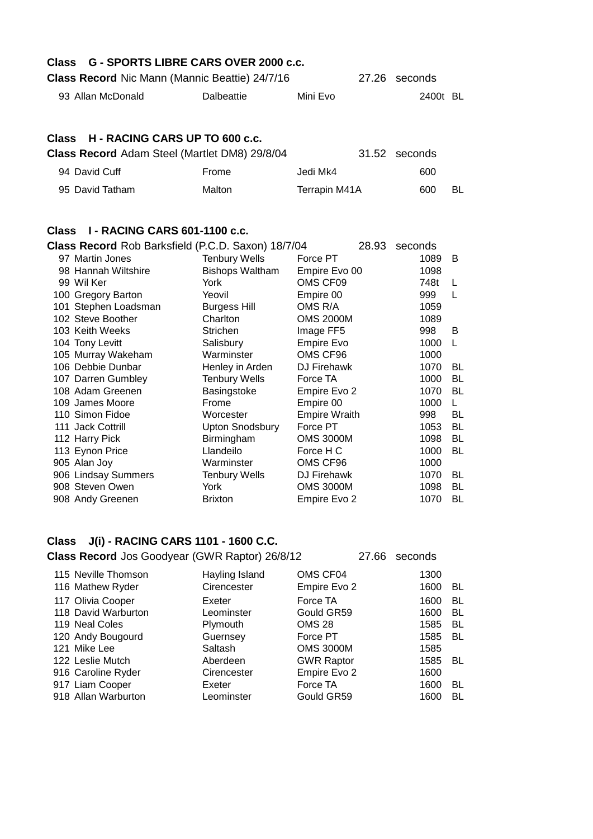| Class        | G - SPORTS LIBRE CARS OVER 2000 c.c.<br>Class Record Nic Mann (Mannic Beattie) 24/7/16                                                                                                                                                                                                                                                                                                                                                                                                                                        |                                                                                                                                                                                                                                                                                                                                                 |                                                                                                                                                                                                                                                                                                                      | 27.26 | seconds |                                                                                                                                                                   |                                                                                                                                                |
|--------------|-------------------------------------------------------------------------------------------------------------------------------------------------------------------------------------------------------------------------------------------------------------------------------------------------------------------------------------------------------------------------------------------------------------------------------------------------------------------------------------------------------------------------------|-------------------------------------------------------------------------------------------------------------------------------------------------------------------------------------------------------------------------------------------------------------------------------------------------------------------------------------------------|----------------------------------------------------------------------------------------------------------------------------------------------------------------------------------------------------------------------------------------------------------------------------------------------------------------------|-------|---------|-------------------------------------------------------------------------------------------------------------------------------------------------------------------|------------------------------------------------------------------------------------------------------------------------------------------------|
|              | 93 Allan McDonald                                                                                                                                                                                                                                                                                                                                                                                                                                                                                                             | <b>Dalbeattie</b>                                                                                                                                                                                                                                                                                                                               | Mini Evo                                                                                                                                                                                                                                                                                                             |       |         | 2400t BL                                                                                                                                                          |                                                                                                                                                |
| <b>Class</b> | H - RACING CARS UP TO 600 c.c.<br>Class Record Adam Steel (Martlet DM8) 29/8/04                                                                                                                                                                                                                                                                                                                                                                                                                                               |                                                                                                                                                                                                                                                                                                                                                 |                                                                                                                                                                                                                                                                                                                      | 31.52 | seconds |                                                                                                                                                                   |                                                                                                                                                |
|              | 94 David Cuff                                                                                                                                                                                                                                                                                                                                                                                                                                                                                                                 | Frome                                                                                                                                                                                                                                                                                                                                           | Jedi Mk4                                                                                                                                                                                                                                                                                                             |       |         | 600                                                                                                                                                               |                                                                                                                                                |
|              | 95 David Tatham                                                                                                                                                                                                                                                                                                                                                                                                                                                                                                               | Malton                                                                                                                                                                                                                                                                                                                                          | Terrapin M41A                                                                                                                                                                                                                                                                                                        |       |         | 600                                                                                                                                                               | BL                                                                                                                                             |
|              | Class I - RACING CARS 601-1100 c.c.<br>Class Record Rob Barksfield (P.C.D. Saxon) 18/7/04<br>97 Martin Jones<br>98 Hannah Wiltshire<br>99 Wil Ker<br>100 Gregory Barton<br>101 Stephen Loadsman<br>102 Steve Boother<br>103 Keith Weeks<br>104 Tony Levitt<br>105 Murray Wakeham<br>106 Debbie Dunbar<br>107 Darren Gumbley<br>108 Adam Greenen<br>109 James Moore<br>110 Simon Fidoe<br>111 Jack Cottrill<br>112 Harry Pick<br>113 Eynon Price<br>905 Alan Joy<br>906 Lindsay Summers<br>908 Steven Owen<br>908 Andy Greenen | <b>Tenbury Wells</b><br><b>Bishops Waltham</b><br>York<br>Yeovil<br><b>Burgess Hill</b><br>Charlton<br>Strichen<br>Salisbury<br>Warminster<br>Henley in Arden<br><b>Tenbury Wells</b><br>Basingstoke<br>Frome<br>Worcester<br><b>Upton Snodsbury</b><br>Birmingham<br>Llandeilo<br>Warminster<br><b>Tenbury Wells</b><br>York<br><b>Brixton</b> | Force PT<br>Empire Evo 00<br>OMS CF09<br>Empire 00<br>OMS R/A<br><b>OMS 2000M</b><br>Image FF5<br>Empire Evo<br>OMS CF96<br>DJ Firehawk<br>Force TA<br>Empire Evo 2<br>Empire 00<br><b>Empire Wraith</b><br>Force PT<br><b>OMS 3000M</b><br>Force H C<br>OMS CF96<br>DJ Firehawk<br><b>OMS 3000M</b><br>Empire Evo 2 | 28.93 | seconds | 1089<br>1098<br>748t<br>999<br>1059<br>1089<br>998<br>1000<br>1000<br>1070<br>1000<br>1070<br>1000<br>998<br>1053<br>1098<br>1000<br>1000<br>1070<br>1098<br>1070 | B<br>L<br>L<br>B<br>L<br><b>BL</b><br><b>BL</b><br><b>BL</b><br>L<br><b>BL</b><br>BL<br><b>BL</b><br><b>BL</b><br><b>BL</b><br>BL<br><b>BL</b> |
|              |                                                                                                                                                                                                                                                                                                                                                                                                                                                                                                                               |                                                                                                                                                                                                                                                                                                                                                 |                                                                                                                                                                                                                                                                                                                      |       |         |                                                                                                                                                                   |                                                                                                                                                |

## **Class J(i) - RACING CARS 1101 - 1600 C.C.**

**Class Record** Jos Goodyear (GWR Raptor) 26/8/12 27.66 seconds

115 Neville Thomson **Hayling Island** OMS CF04 1300 116 Mathew Ryder Cirencester Empire Evo 2 1600 BL 117 Olivia Cooper **Exeter** Force TA 1600 BL 118 David Warburton **Leominster** Gould GR59 1600 BL 119 Neal Coles **Plymouth** CMS 28 1585 BL 120 Andy Bougourd Guernsey Force PT 1585 BL 121 Mike Lee Saltash OMS 3000M 1585 122 Leslie Mutch **Aberdeen** GWR Raptor 1585 BL 916 Caroline Ryder Cirencester Empire Evo 2 1600 917 Liam Cooper **Exeter** Force TA 1600 BL 918 Allan Warburton **Leominster** Gould GR59 1600 BL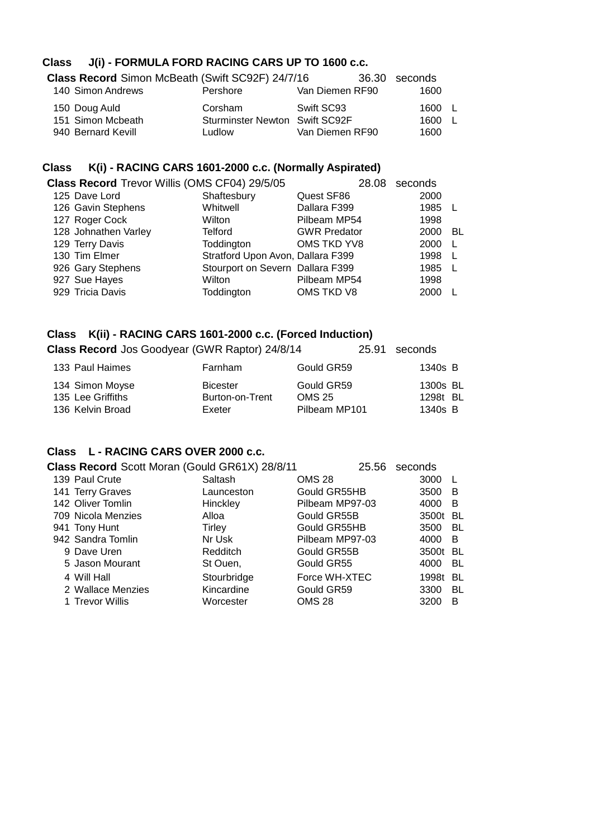# **Class J(i) - FORMULA FORD RACING CARS UP TO 1600 c.c.**

| Class Record Simon McBeath (Swift SC92F) 24/7/16 |                                       |                 | 36.30 seconds |  |
|--------------------------------------------------|---------------------------------------|-----------------|---------------|--|
| 140 Simon Andrews                                | Pershore                              | Van Diemen RF90 | 1600          |  |
| 150 Doug Auld                                    | Corsham                               | Swift SC93      | 1600 L        |  |
| 151 Simon Mcbeath                                | <b>Sturminster Newton Swift SC92F</b> |                 | 1600 L        |  |
| 940 Bernard Kevill                               | Ludlow                                | Van Diemen RF90 | 1600          |  |

# **Class K(i) - RACING CARS 1601-2000 c.c. (Normally Aspirated)**

| Class Record Trevor Willis (OMS CF04) 29/5/05 |                      |                                   | 28.08               | seconds |     |
|-----------------------------------------------|----------------------|-----------------------------------|---------------------|---------|-----|
|                                               | 125 Dave Lord        | Shaftesbury                       | Quest SF86          | 2000    |     |
|                                               | 126 Gavin Stephens   | Whitwell                          | Dallara F399        | 1985 L  |     |
|                                               | 127 Roger Cock       | Wilton                            | Pilbeam MP54        | 1998    |     |
|                                               | 128 Johnathen Varley | <b>Telford</b>                    | <b>GWR Predator</b> | 2000    | -BL |
|                                               | 129 Terry Davis      | Toddington                        | OMS TKD YV8         | 2000    | - L |
|                                               | 130 Tim Elmer        | Stratford Upon Avon, Dallara F399 |                     | 1998    |     |
|                                               | 926 Gary Stephens    | Stourport on Severn Dallara F399  |                     | 1985 L  |     |
|                                               | 927 Sue Hayes        | Wilton                            | Pilbeam MP54        | 1998    |     |
|                                               | 929 Tricia Davis     | Toddington                        | OMS TKD V8          | 2000    |     |

## **Class K(ii) - RACING CARS 1601-2000 c.c. (Forced Induction)**

| <b>Class Record</b> Jos Goodyear (GWR Raptor) 24/8/14    |                                              | 25.91                                        | seconds                         |
|----------------------------------------------------------|----------------------------------------------|----------------------------------------------|---------------------------------|
| 133 Paul Haimes                                          | Farnham                                      | Gould GR59                                   | 1340s B                         |
| 134 Simon Moyse<br>135 Lee Griffiths<br>136 Kelvin Broad | <b>Bicester</b><br>Burton-on-Trent<br>Exeter | Gould GR59<br><b>OMS 25</b><br>Pilbeam MP101 | 1300s BL<br>1298t BL<br>1340s B |

### **Class L - RACING CARS OVER 2000 c.c.**

| Class Record Scott Moran (Gould GR61X) 28/8/11 |             | 25.56           | seconds  |     |
|------------------------------------------------|-------------|-----------------|----------|-----|
| 139 Paul Crute                                 | Saltash     | <b>OMS 28</b>   | 3000     |     |
| 141 Terry Graves                               | Launceston  | Gould GR55HB    | 3500     | B   |
| 142 Oliver Tomlin                              | Hinckley    | Pilbeam MP97-03 | 4000     | B   |
| 709 Nicola Menzies                             | Alloa       | Gould GR55B     | 3500t    | -BL |
| 941 Tony Hunt                                  | Tirley      | Gould GR55HB    | 3500     | BL  |
| 942 Sandra Tomlin                              | Nr Usk      | Pilbeam MP97-03 | 4000     | B   |
| 9 Dave Uren                                    | Redditch    | Gould GR55B     | 3500t BL |     |
| 5 Jason Mourant                                | St Ouen,    | Gould GR55      | 4000     | BL  |
| 4 Will Hall                                    | Stourbridge | Force WH-XTEC   | 1998t    | BL  |
| 2 Wallace Menzies                              | Kincardine  | Gould GR59      | 3300     | BL  |
| 1 Trevor Willis                                | Worcester   | <b>OMS 28</b>   | 3200     | В   |
|                                                |             |                 |          |     |